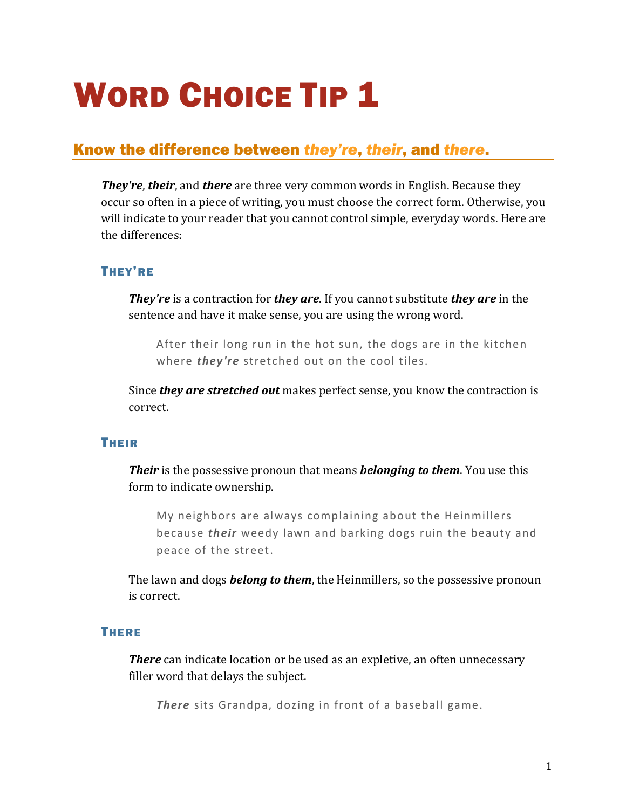# WORD CHOICE TIP 1

## Know the difference between *they're*, *their*, and *there*.

*They're*, *their*, and *there* are three very common words in English. Because they occur so often in a piece of writing, you must choose the correct form. Otherwise, you will indicate to your reader that you cannot control simple, everyday words. Here are the differences:

#### THEY'RE

*They're* is a contraction for *they are*. If you cannot substitute *they are* in the sentence and have it make sense, you are using the wrong word.

After their long run in the hot sun, the dogs are in the kitchen where *they're* stretched out on the cool tiles.

Since *they are stretched out* makes perfect sense, you know the contraction is correct.

#### THEIR

*Their* is the possessive pronoun that means *belonging to them*. You use this form to indicate ownership.

My neighbors are always complaining about the Heinmillers because *their* weedy lawn and barking dogs ruin the beauty and peace of the street.

The lawn and dogs *belong to them*, the Heinmillers, so the possessive pronoun is correct.

#### **THERE**

**There** can indicate location or be used as an expletive, an often unnecessary filler word that delays the subject.

*There* sits Grandpa, dozing in front of a baseball game.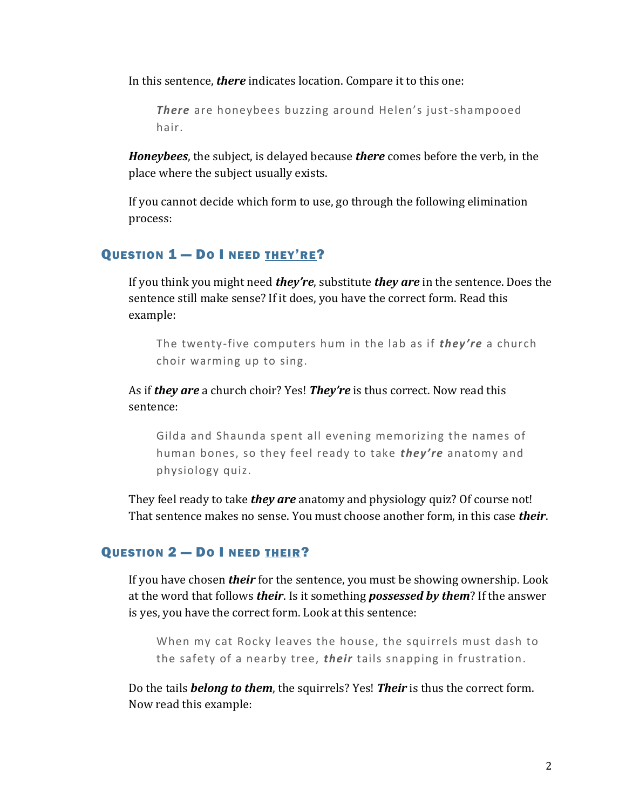In this sentence, *there* indicates location. Compare it to this one:

*There* are honeybees buzzing around Helen's just-shampooed hair.

*Honeybees*, the subject, is delayed because *there* comes before the verb, in the place where the subject usually exists.

If you cannot decide which form to use, go through the following elimination process:

### QUESTION 1 — DO I NEED THEY'RE?

If you think you might need *they're*, substitute *they are* in the sentence. Does the sentence still make sense? If it does, you have the correct form. Read this example:

The twenty-five computers hum in the lab as if *they're* a church choir warming up to sing.

As if *they are* a church choir? Yes! *They're* is thus correct. Now read this sentence:

Gilda and Shaunda spent all evening memorizing the names of human bones, so they feel ready to take *they' re* anatomy and physiology quiz.

They feel ready to take *they are* anatomy and physiology quiz? Of course not! That sentence makes no sense. You must choose another form, in this case *their*.

#### QUESTION 2 - DO I NEED THEIR?

If you have chosen *their* for the sentence, you must be showing ownership. Look at the word that follows *their*. Is it something *possessed by them*? If the answer is yes, you have the correct form. Look at this sentence:

When my cat Rocky leaves the house, the squirrels must dash to the safety of a nearby tree, *their* tails snapping in frustration.

Do the tails *belong to them*, the squirrels? Yes! *Their* is thus the correct form. Now read this example: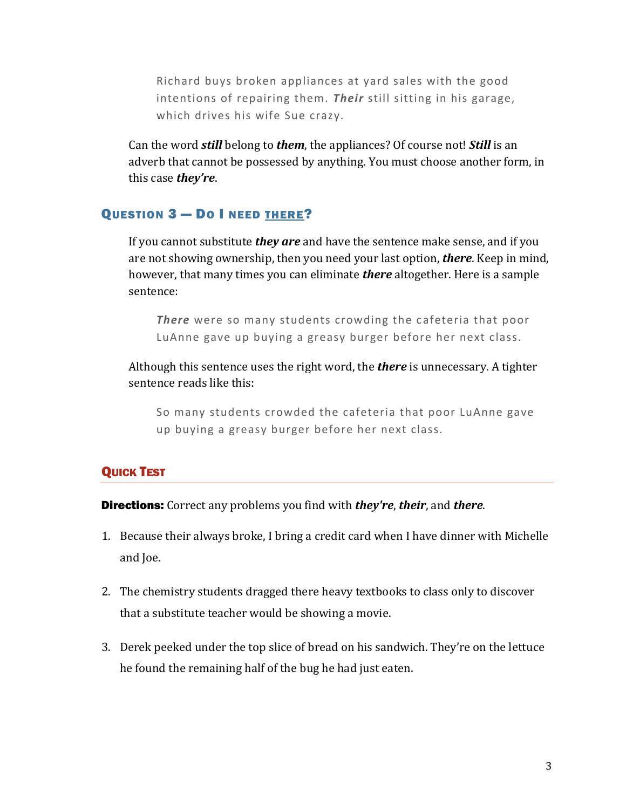Richard buys broken appliances at yard sales with the good intentions of repairing them. **Their** still sitting in his garage, which drives his wife Sue crazy.

Can the word *still* belong to *them*, the appliances? Of course not! *Still* is an adverb that cannot be possessed by anything. You must choose another form, in this case *they're*.

#### QUESTION 3 — DO I NEED THERE?

If you cannot substitute *they are* and have the sentence make sense, and if you are not showing ownership, then you need your last option, *there*. Keep in mind, however, that many times you can eliminate *there* altogether. Here is a sample sentence:

*There* were so many students crowding the cafeteria that poor LuAnne gave up buying a greasy burger before her next class.

Although this sentence uses the right word, the *there* is unnecessary. A tighter sentence reads like this:

So many students crowded the cafeteria that poor LuAnne gave up buying a greasy burger before her next class.

#### **QUICK TEST**

Directions: Correct any problems you find with *they're*, *their*, and *there*.

- 1. Because their always broke, I bring a credit card when I have dinner with Michelle and Joe.
- 2. The chemistry students dragged there heavy textbooks to class only to discover that a substitute teacher would be showing a movie.
- 3. Derek peeked under the top slice of bread on his sandwich. They're on the lettuce he found the remaining half of the bug he had just eaten.